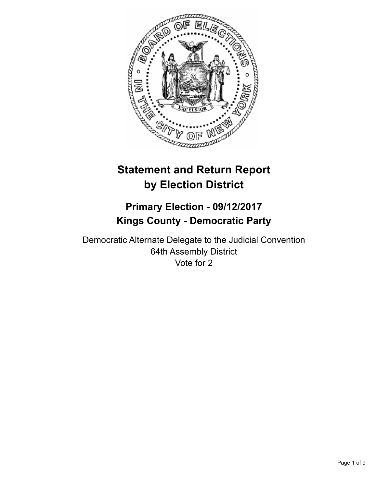

# **Statement and Return Report by Election District**

## **Primary Election - 09/12/2017 Kings County - Democratic Party**

Democratic Alternate Delegate to the Judicial Convention 64th Assembly District Vote for 2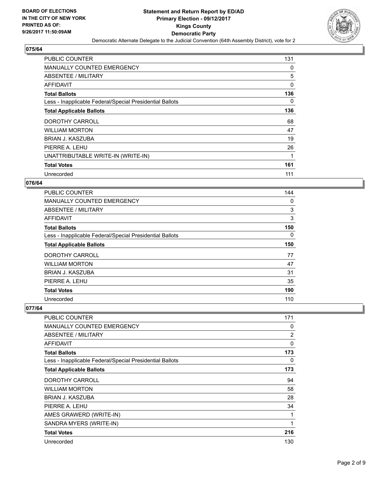

| PUBLIC COUNTER                                           | 131          |
|----------------------------------------------------------|--------------|
| <b>MANUALLY COUNTED EMERGENCY</b>                        | 0            |
| ABSENTEE / MILITARY                                      | 5            |
| AFFIDAVIT                                                | $\mathbf{0}$ |
| <b>Total Ballots</b>                                     | 136          |
| Less - Inapplicable Federal/Special Presidential Ballots | 0            |
| <b>Total Applicable Ballots</b>                          | 136          |
| DOROTHY CARROLL                                          | 68           |
| <b>WILLIAM MORTON</b>                                    | 47           |
| BRIAN J. KASZUBA                                         | 19           |
| PIERRE A. LEHU                                           | 26           |
| UNATTRIBUTABLE WRITE-IN (WRITE-IN)                       | 1            |
| <b>Total Votes</b>                                       | 161          |
| Unrecorded                                               | 111          |

## **076/64**

| <b>PUBLIC COUNTER</b>                                    | 144 |
|----------------------------------------------------------|-----|
| <b>MANUALLY COUNTED EMERGENCY</b>                        | 0   |
| ABSENTEE / MILITARY                                      | 3   |
| AFFIDAVIT                                                | 3   |
| <b>Total Ballots</b>                                     | 150 |
| Less - Inapplicable Federal/Special Presidential Ballots | 0   |
| <b>Total Applicable Ballots</b>                          | 150 |
| DOROTHY CARROLL                                          | 77  |
| <b>WILLIAM MORTON</b>                                    | 47  |
| <b>BRIAN J. KASZUBA</b>                                  | 31  |
| PIERRE A. LEHU                                           | 35  |
| <b>Total Votes</b>                                       | 190 |
| Unrecorded                                               | 110 |

| <b>PUBLIC COUNTER</b>                                    | 171 |
|----------------------------------------------------------|-----|
| <b>MANUALLY COUNTED EMERGENCY</b>                        | 0   |
| ABSENTEE / MILITARY                                      | 2   |
| AFFIDAVIT                                                | 0   |
| <b>Total Ballots</b>                                     | 173 |
| Less - Inapplicable Federal/Special Presidential Ballots | 0   |
| <b>Total Applicable Ballots</b>                          | 173 |
| DOROTHY CARROLL                                          | 94  |
| <b>WILLIAM MORTON</b>                                    | 58  |
| BRIAN J. KASZUBA                                         | 28  |
| PIERRE A. LEHU                                           | 34  |
| AMES GRAWERD (WRITE-IN)                                  | 1   |
| SANDRA MYERS (WRITE-IN)                                  | 1   |
| <b>Total Votes</b>                                       | 216 |
| Unrecorded                                               | 130 |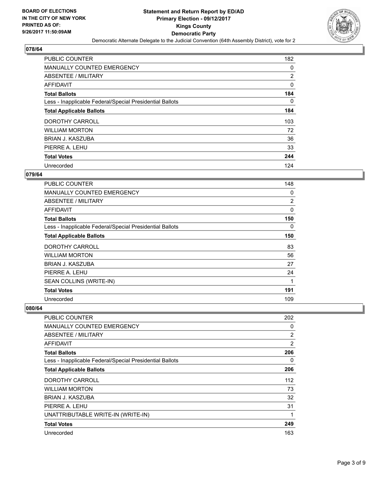

| <b>PUBLIC COUNTER</b>                                    | 182 |
|----------------------------------------------------------|-----|
| MANUALLY COUNTED EMERGENCY                               | 0   |
| ABSENTEE / MILITARY                                      | 2   |
| <b>AFFIDAVIT</b>                                         | 0   |
| <b>Total Ballots</b>                                     | 184 |
| Less - Inapplicable Federal/Special Presidential Ballots | 0   |
| <b>Total Applicable Ballots</b>                          | 184 |
| DOROTHY CARROLL                                          | 103 |
| <b>WILLIAM MORTON</b>                                    | 72  |
| BRIAN J. KASZUBA                                         | 36  |
| PIERRE A. LEHU                                           | 33  |
| <b>Total Votes</b>                                       | 244 |
| Unrecorded                                               | 124 |

#### **079/64**

| <b>PUBLIC COUNTER</b>                                    | 148            |
|----------------------------------------------------------|----------------|
| <b>MANUALLY COUNTED EMERGENCY</b>                        | 0              |
| ABSENTEE / MILITARY                                      | $\overline{2}$ |
| <b>AFFIDAVIT</b>                                         | 0              |
| <b>Total Ballots</b>                                     | 150            |
| Less - Inapplicable Federal/Special Presidential Ballots | 0              |
| <b>Total Applicable Ballots</b>                          | 150            |
| DOROTHY CARROLL                                          | 83             |
| <b>WILLIAM MORTON</b>                                    | 56             |
| BRIAN J. KASZUBA                                         | 27             |
| PIERRE A. LEHU                                           | 24             |
| SEAN COLLINS (WRITE-IN)                                  | 1              |
| <b>Total Votes</b>                                       | 191            |
| Unrecorded                                               | 109            |

| <b>PUBLIC COUNTER</b>                                    | 202 |
|----------------------------------------------------------|-----|
| <b>MANUALLY COUNTED EMERGENCY</b>                        | 0   |
| ABSENTEE / MILITARY                                      | 2   |
| AFFIDAVIT                                                | 2   |
| <b>Total Ballots</b>                                     | 206 |
| Less - Inapplicable Federal/Special Presidential Ballots | 0   |
| <b>Total Applicable Ballots</b>                          | 206 |
| DOROTHY CARROLL                                          | 112 |
| <b>WILLIAM MORTON</b>                                    | 73  |
| <b>BRIAN J. KASZUBA</b>                                  | 32  |
| PIERRE A. LEHU                                           | 31  |
| UNATTRIBUTABLE WRITE-IN (WRITE-IN)                       | 1   |
| <b>Total Votes</b>                                       | 249 |
| Unrecorded                                               | 163 |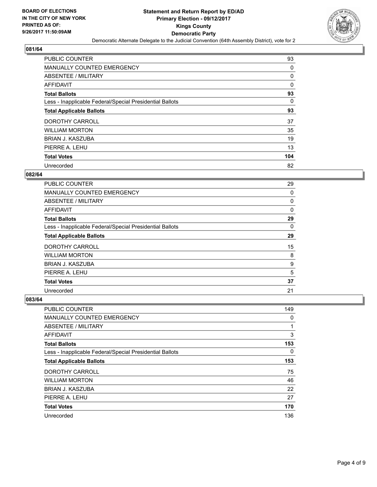

| <b>PUBLIC COUNTER</b>                                    | 93  |
|----------------------------------------------------------|-----|
| MANUALLY COUNTED EMERGENCY                               | 0   |
| ABSENTEE / MILITARY                                      | 0   |
| <b>AFFIDAVIT</b>                                         | 0   |
| <b>Total Ballots</b>                                     | 93  |
| Less - Inapplicable Federal/Special Presidential Ballots | 0   |
| <b>Total Applicable Ballots</b>                          | 93  |
| DOROTHY CARROLL                                          | 37  |
| <b>WILLIAM MORTON</b>                                    | 35  |
| BRIAN J. KASZUBA                                         | 19  |
| PIERRE A. LEHU                                           | 13  |
| <b>Total Votes</b>                                       | 104 |
| Unrecorded                                               | 82  |

#### **082/64**

| <b>PUBLIC COUNTER</b>                                    | 29       |
|----------------------------------------------------------|----------|
| <b>MANUALLY COUNTED EMERGENCY</b>                        | 0        |
| ABSENTEE / MILITARY                                      | 0        |
| AFFIDAVIT                                                | $\Omega$ |
| <b>Total Ballots</b>                                     | 29       |
| Less - Inapplicable Federal/Special Presidential Ballots | $\Omega$ |
| <b>Total Applicable Ballots</b>                          | 29       |
| <b>DOROTHY CARROLL</b>                                   | 15       |
| <b>WILLIAM MORTON</b>                                    | 8        |
| BRIAN J. KASZUBA                                         | 9        |
| PIERRE A. LEHU                                           | 5        |
| <b>Total Votes</b>                                       | 37       |
| Unrecorded                                               | 21       |

| <b>PUBLIC COUNTER</b>                                    | 149 |
|----------------------------------------------------------|-----|
| <b>MANUALLY COUNTED EMERGENCY</b>                        | 0   |
| ABSENTEE / MILITARY                                      | 1   |
| AFFIDAVIT                                                | 3   |
| <b>Total Ballots</b>                                     | 153 |
| Less - Inapplicable Federal/Special Presidential Ballots | 0   |
| <b>Total Applicable Ballots</b>                          | 153 |
| DOROTHY CARROLL                                          | 75  |
| <b>WILLIAM MORTON</b>                                    | 46  |
| <b>BRIAN J. KASZUBA</b>                                  | 22  |
| PIERRE A. LEHU                                           | 27  |
| <b>Total Votes</b>                                       | 170 |
| Unrecorded                                               | 136 |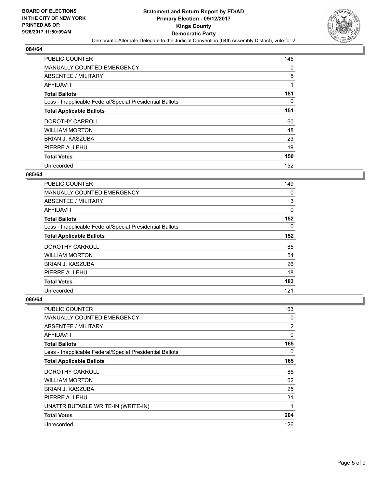

| <b>PUBLIC COUNTER</b>                                    | 145 |
|----------------------------------------------------------|-----|
| MANUALLY COUNTED EMERGENCY                               | 0   |
| ABSENTEE / MILITARY                                      | 5   |
| <b>AFFIDAVIT</b>                                         |     |
| <b>Total Ballots</b>                                     | 151 |
| Less - Inapplicable Federal/Special Presidential Ballots | 0   |
| <b>Total Applicable Ballots</b>                          | 151 |
| DOROTHY CARROLL                                          | 60  |
| <b>WILLIAM MORTON</b>                                    | 48  |
| BRIAN J. KASZUBA                                         | 23  |
| PIERRE A. LEHU                                           | 19  |
| <b>Total Votes</b>                                       | 150 |
| Unrecorded                                               | 152 |

#### **085/64**

| <b>PUBLIC COUNTER</b>                                    | 149 |
|----------------------------------------------------------|-----|
| <b>MANUALLY COUNTED EMERGENCY</b>                        | 0   |
| ABSENTEE / MILITARY                                      | 3   |
| <b>AFFIDAVIT</b>                                         | 0   |
| <b>Total Ballots</b>                                     | 152 |
| Less - Inapplicable Federal/Special Presidential Ballots | 0   |
| <b>Total Applicable Ballots</b>                          | 152 |
| DOROTHY CARROLL                                          | 85  |
| <b>WILLIAM MORTON</b>                                    | 54  |
| <b>BRIAN J. KASZUBA</b>                                  | 26  |
| PIERRE A. LEHU                                           | 18  |
| <b>Total Votes</b>                                       | 183 |
| Unrecorded                                               | 121 |

| PUBLIC COUNTER                                           | 163            |
|----------------------------------------------------------|----------------|
| <b>MANUALLY COUNTED EMERGENCY</b>                        | 0              |
| ABSENTEE / MILITARY                                      | $\overline{2}$ |
| <b>AFFIDAVIT</b>                                         | 0              |
| <b>Total Ballots</b>                                     | 165            |
| Less - Inapplicable Federal/Special Presidential Ballots | 0              |
| <b>Total Applicable Ballots</b>                          | 165            |
| DOROTHY CARROLL                                          | 85             |
| <b>WILLIAM MORTON</b>                                    | 62             |
| <b>BRIAN J. KASZUBA</b>                                  | 25             |
| PIERRE A. LEHU                                           | 31             |
| UNATTRIBUTABLE WRITE-IN (WRITE-IN)                       | 1              |
| <b>Total Votes</b>                                       | 204            |
| Unrecorded                                               | 126            |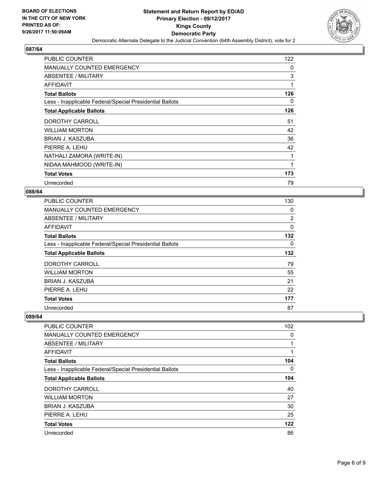

| <b>PUBLIC COUNTER</b>                                    | 122 |
|----------------------------------------------------------|-----|
| <b>MANUALLY COUNTED EMERGENCY</b>                        | 0   |
| ABSENTEE / MILITARY                                      | 3   |
| <b>AFFIDAVIT</b>                                         | 1   |
| <b>Total Ballots</b>                                     | 126 |
| Less - Inapplicable Federal/Special Presidential Ballots | 0   |
| <b>Total Applicable Ballots</b>                          | 126 |
| DOROTHY CARROLL                                          | 51  |
| <b>WILLIAM MORTON</b>                                    | 42  |
| BRIAN J. KASZUBA                                         | 36  |
| PIERRE A. LEHU                                           | 42  |
| NATHALI ZAMORA (WRITE-IN)                                | 1   |
| NIDAA MAHMOOD (WRITE-IN)                                 | 1   |
| <b>Total Votes</b>                                       | 173 |
| Unrecorded                                               | 79  |

#### **088/64**

| <b>PUBLIC COUNTER</b>                                    | 130            |
|----------------------------------------------------------|----------------|
| MANUALLY COUNTED EMERGENCY                               | 0              |
| ABSENTEE / MILITARY                                      | $\overline{2}$ |
| AFFIDAVIT                                                | 0              |
| <b>Total Ballots</b>                                     | 132            |
| Less - Inapplicable Federal/Special Presidential Ballots | 0              |
| <b>Total Applicable Ballots</b>                          | 132            |
| DOROTHY CARROLL                                          | 79             |
| <b>WILLIAM MORTON</b>                                    | 55             |
| <b>BRIAN J. KASZUBA</b>                                  | 21             |
| PIERRE A. LEHU                                           | 22             |
| <b>Total Votes</b>                                       | 177            |
| Unrecorded                                               | 87             |

| <b>PUBLIC COUNTER</b>                                    | 102 |
|----------------------------------------------------------|-----|
| <b>MANUALLY COUNTED EMERGENCY</b>                        | 0   |
| ABSENTEE / MILITARY                                      |     |
| AFFIDAVIT                                                |     |
| <b>Total Ballots</b>                                     | 104 |
| Less - Inapplicable Federal/Special Presidential Ballots | 0   |
| <b>Total Applicable Ballots</b>                          | 104 |
| DOROTHY CARROLL                                          | 40  |
| <b>WILLIAM MORTON</b>                                    | 27  |
| BRIAN J. KASZUBA                                         | 30  |
| PIERRE A. LEHU                                           | 25  |
| <b>Total Votes</b>                                       | 122 |
| Unrecorded                                               | 86  |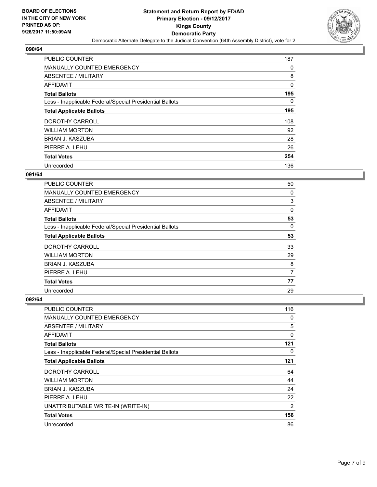

| <b>PUBLIC COUNTER</b>                                    | 187 |
|----------------------------------------------------------|-----|
| <b>MANUALLY COUNTED EMERGENCY</b>                        | 0   |
| ABSENTEE / MILITARY                                      | 8   |
| <b>AFFIDAVIT</b>                                         | 0   |
| <b>Total Ballots</b>                                     | 195 |
| Less - Inapplicable Federal/Special Presidential Ballots | 0   |
| <b>Total Applicable Ballots</b>                          | 195 |
| DOROTHY CARROLL                                          | 108 |
| <b>WILLIAM MORTON</b>                                    | 92  |
| BRIAN J. KASZUBA                                         | 28  |
| PIERRE A. LEHU                                           | 26  |
| <b>Total Votes</b>                                       | 254 |
| Unrecorded                                               | 136 |

#### **091/64**

| <b>PUBLIC COUNTER</b>                                    | 50 |
|----------------------------------------------------------|----|
| <b>MANUALLY COUNTED EMERGENCY</b>                        | 0  |
| ABSENTEE / MILITARY                                      | 3  |
| AFFIDAVIT                                                | 0  |
| <b>Total Ballots</b>                                     | 53 |
| Less - Inapplicable Federal/Special Presidential Ballots | 0  |
| <b>Total Applicable Ballots</b>                          | 53 |
| <b>DOROTHY CARROLL</b>                                   | 33 |
| <b>WILLIAM MORTON</b>                                    | 29 |
| BRIAN J. KASZUBA                                         | 8  |
| PIERRE A. LEHU                                           | 7  |
| <b>Total Votes</b>                                       | 77 |
| Unrecorded                                               | 29 |

| <b>PUBLIC COUNTER</b>                                    | 116            |
|----------------------------------------------------------|----------------|
| <b>MANUALLY COUNTED EMERGENCY</b>                        | 0              |
| <b>ABSENTEE / MILITARY</b>                               | 5              |
| AFFIDAVIT                                                | 0              |
| <b>Total Ballots</b>                                     | 121            |
| Less - Inapplicable Federal/Special Presidential Ballots | 0              |
| <b>Total Applicable Ballots</b>                          | 121            |
| DOROTHY CARROLL                                          | 64             |
| <b>WILLIAM MORTON</b>                                    | 44             |
| <b>BRIAN J. KASZUBA</b>                                  | 24             |
| PIERRE A. LEHU                                           | 22             |
| UNATTRIBUTABLE WRITE-IN (WRITE-IN)                       | $\overline{2}$ |
| <b>Total Votes</b>                                       | 156            |
| Unrecorded                                               | 86             |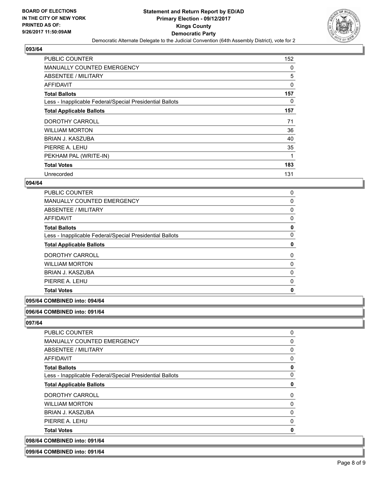

| <b>PUBLIC COUNTER</b>                                    | 152 |
|----------------------------------------------------------|-----|
| <b>MANUALLY COUNTED EMERGENCY</b>                        | 0   |
| ABSENTEE / MILITARY                                      | 5   |
| AFFIDAVIT                                                | 0   |
| <b>Total Ballots</b>                                     | 157 |
| Less - Inapplicable Federal/Special Presidential Ballots | 0   |
| <b>Total Applicable Ballots</b>                          | 157 |
| DOROTHY CARROLL                                          | 71  |
| <b>WILLIAM MORTON</b>                                    | 36  |
| BRIAN J. KASZUBA                                         | 40  |
| PIERRE A. LEHU                                           | 35  |
| PEKHAM PAL (WRITE-IN)                                    | 1   |
| <b>Total Votes</b>                                       | 183 |
| Unrecorded                                               | 131 |

#### **094/64**

| <b>PUBLIC COUNTER</b>                                    | 0            |
|----------------------------------------------------------|--------------|
| <b>MANUALLY COUNTED EMERGENCY</b>                        | $\mathbf{0}$ |
| <b>ABSENTEE / MILITARY</b>                               | 0            |
| <b>AFFIDAVIT</b>                                         | $\Omega$     |
| <b>Total Ballots</b>                                     | 0            |
| Less - Inapplicable Federal/Special Presidential Ballots | 0            |
| <b>Total Applicable Ballots</b>                          | 0            |
| DOROTHY CARROLL                                          | 0            |
| <b>WILLIAM MORTON</b>                                    | $\mathbf 0$  |
| <b>BRIAN J. KASZUBA</b>                                  | 0            |
| PIERRE A. LEHU                                           | $\mathbf 0$  |
| <b>Total Votes</b>                                       | 0            |

#### **095/64 COMBINED into: 094/64**

#### **096/64 COMBINED into: 091/64**

**097/64** 

098/64

| COMBINED into: 091/64                                    |   |
|----------------------------------------------------------|---|
| <b>Total Votes</b>                                       | 0 |
| PIERRE A. LEHU                                           | 0 |
| BRIAN J. KASZUBA                                         | 0 |
| <b>WILLIAM MORTON</b>                                    | 0 |
| DOROTHY CARROLL                                          | 0 |
| <b>Total Applicable Ballots</b>                          | 0 |
| Less - Inapplicable Federal/Special Presidential Ballots | 0 |
| <b>Total Ballots</b>                                     | 0 |
| AFFIDAVIT                                                | 0 |
| ABSENTEE / MILITARY                                      | 0 |
| <b>MANUALLY COUNTED EMERGENCY</b>                        | 0 |
| <b>PUBLIC COUNTER</b>                                    | 0 |

#### **099/64 COMBINED into: 091/64**